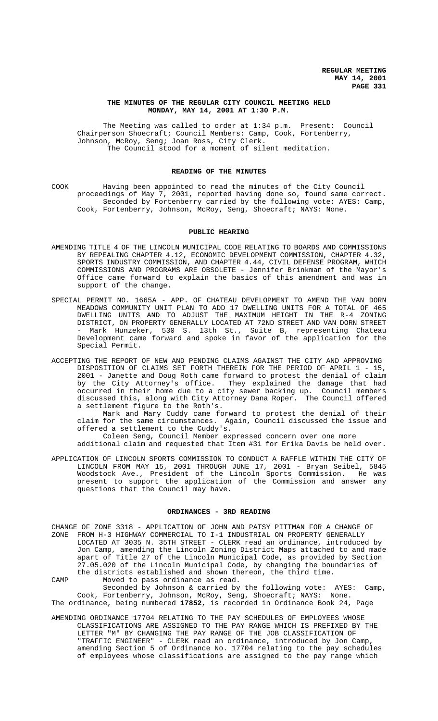## **THE MINUTES OF THE REGULAR CITY COUNCIL MEETING HELD MONDAY, MAY 14, 2001 AT 1:30 P.M.**

The Meeting was called to order at 1:34 p.m. Present: Council Chairperson Shoecraft; Council Members: Camp, Cook, Fortenberry, Johnson, McRoy, Seng; Joan Ross, City Clerk. The Council stood for a moment of silent meditation.

# **READING OF THE MINUTES**

COOK Having been appointed to read the minutes of the City Council proceedings of May 7, 2001, reported having done so, found same correct. Seconded by Fortenberry carried by the following vote: AYES: Camp, Cook, Fortenberry, Johnson, McRoy, Seng, Shoecraft; NAYS: None.

#### **PUBLIC HEARING**

- AMENDING TITLE 4 OF THE LINCOLN MUNICIPAL CODE RELATING TO BOARDS AND COMMISSIONS BY REPEALING CHAPTER 4.12, ECONOMIC DEVELOPMENT COMMISSION, CHAPTER 4.32, SPORTS INDUSTRY COMMISSION, AND CHAPTER 4.44, CIVIL DEFENSE PROGRAM, WHICH COMMISSIONS AND PROGRAMS ARE OBSOLETE - Jennifer Brinkman of the Mayor's Office came forward to explain the basics of this amendment and was in support of the change.
- SPECIAL PERMIT NO. 1665A APP. OF CHATEAU DEVELOPMENT TO AMEND THE VAN DORN MEADOWS COMMUNITY UNIT PLAN TO ADD 17 DWELLING UNITS FOR A TOTAL OF 465 DWELLING UNITS AND TO ADJUST THE MAXIMUM HEIGHT IN THE R-4 ZONING DISTRICT, ON PROPERTY GENERALLY LOCATED AT 72ND STREET AND VAN DORN STREET - Mark Hunzeker, 530 S. 13th St., Suite B, representing Chateau Development came forward and spoke in favor of the application for the Special Permit.
- ACCEPTING THE REPORT OF NEW AND PENDING CLAIMS AGAINST THE CITY AND APPROVING DISPOSITION OF CLAIMS SET FORTH THEREIN FOR THE PERIOD OF APRIL 1 - 15, 2001 - Janette and Doug Roth came forward to protest the denial of claim by the City Attorney's office. They explained the damage that had occurred in their home due to a city sewer backing up. Council members<br>discussed this, along with City Attorney Dana Roper. The Council offered discussed this, along with City Attorney Dana Roper. a settlement figure to the Roth's.

Mark and Mary Cuddy came forward to protest the denial of their claim for the same circumstances. Again, Council discussed the issue and offered a settlement to the Cuddy's.

Coleen Seng, Council Member expressed concern over one more

additional claim and requested that Item #31 for Erika Davis be held over.

APPLICATION OF LINCOLN SPORTS COMMISSION TO CONDUCT A RAFFLE WITHIN THE CITY OF LINCOLN FROM MAY 15, 2001 THROUGH JUNE 17, 2001 - Bryan Seibel, 5845 Woodstock Ave., President of the Lincoln Sports Commission. He was present to support the application of the Commission and answer any questions that the Council may have.

#### **ORDINANCES - 3RD READING**

CHANGE OF ZONE 3318 - APPLICATION OF JOHN AND PATSY PITTMAN FOR A CHANGE OF ZONE FROM H-3 HIGHWAY COMMERCIAL TO I-1 INDUSTRIAL ON PROPERTY GENERALLY LOCATED AT 3035 N. 35TH STREET - CLERK read an ordinance, introduced by Jon Camp, amending the Lincoln Zoning District Maps attached to and made apart of Title 27 of the Lincoln Municipal Code, as provided by Section 27.05.020 of the Lincoln Municipal Code, by changing the boundaries of the districts established and shown thereon, the third time.

CAMP Moved to pass ordinance as read. Seconded by Johnson & carried by the following vote: AYES: Camp, Cook, Fortenberry, Johnson, McRoy, Seng, Shoecraft; NAYS: None. The ordinance, being numbered **17852**, is recorded in Ordinance Book 24, Page

AMENDING ORDINANCE 17704 RELATING TO THE PAY SCHEDULES OF EMPLOYEES WHOSE CLASSIFICATIONS ARE ASSIGNED TO THE PAY RANGE WHICH IS PREFIXED BY THE LETTER "M" BY CHANGING THE PAY RANGE OF THE JOB CLASSIFICATION OF "TRAFFIC ENGINEER" - CLERK read an ordinance, introduced by Jon Camp, amending Section 5 of Ordinance No. 17704 relating to the pay schedules of employees whose classifications are assigned to the pay range which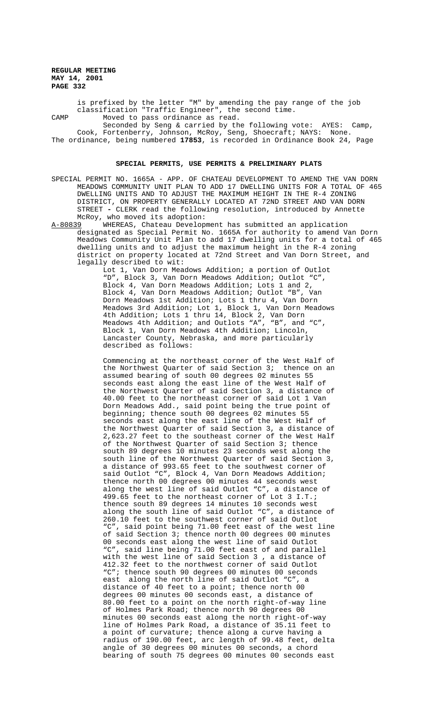is prefixed by the letter "M" by amending the pay range of the job classification "Traffic Engineer", the second time. CAMP Moved to pass ordinance as read.

Seconded by Seng & carried by the following vote: AYES: Camp, Cook, Fortenberry, Johnson, McRoy, Seng, Shoecraft; NAYS: None. The ordinance, being numbered **17853**, is recorded in Ordinance Book 24, Page

#### **SPECIAL PERMITS, USE PERMITS & PRELIMINARY PLATS**

- SPECIAL PERMIT NO. 1665A APP. OF CHATEAU DEVELOPMENT TO AMEND THE VAN DORN MEADOWS COMMUNITY UNIT PLAN TO ADD 17 DWELLING UNITS FOR A TOTAL OF 465 DWELLING UNITS AND TO ADJUST THE MAXIMUM HEIGHT IN THE R-4 ZONING DISTRICT, ON PROPERTY GENERALLY LOCATED AT 72ND STREET AND VAN DORN STREET **-** CLERK read the following resolution, introduced by Annette McRoy, who moved its adoption:
- A-80839 WHEREAS, Chateau Development has submitted an application designated as Special Permit No. 1665A for authority to amend Van Dorn Meadows Community Unit Plan to add 17 dwelling units for a total of 465 dwelling units and to adjust the maximum height in the R-4 zoning district on property located at 72nd Street and Van Dorn Street, and legally described to wit:

Lot 1, Van Dorn Meadows Addition; a portion of Outlot "D", Block 3, Van Dorn Meadows Addition; Outlot "C", Block 4, Van Dorn Meadows Addition; Lots 1 and 2, Block 4, Van Dorn Meadows Addition; Outlot "B", Van Dorn Meadows 1st Addition; Lots 1 thru 4, Van Dorn Meadows 3rd Addition; Lot 1, Block 1, Van Dorn Meadows 4th Addition; Lots 1 thru 14, Block 2, Van Dorn Meadows 4th Addition; and Outlots "A", "B", and "C", Block 1, Van Dorn Meadows 4th Addition; Lincoln, Lancaster County, Nebraska, and more particularly described as follows:

Commencing at the northeast corner of the West Half of the Northwest Quarter of said Section 3; thence on an assumed bearing of south 00 degrees 02 minutes 55 seconds east along the east line of the West Half of the Northwest Quarter of said Section 3, a distance of 40.00 feet to the northeast corner of said Lot 1 Van Dorn Meadows Add., said point being the true point of beginning; thence south 00 degrees 02 minutes 55 seconds east along the east line of the West Half of the Northwest Quarter of said Section 3, a distance of 2,623.27 feet to the southeast corner of the West Half of the Northwest Quarter of said Section 3; thence south 89 degrees 10 minutes 23 seconds west along the south line of the Northwest Quarter of said Section 3, a distance of 993.65 feet to the southwest corner of said Outlot "C", Block 4, Van Dorn Meadows Addition; thence north 00 degrees 00 minutes 44 seconds west along the west line of said Outlot "C", a distance of 499.65 feet to the northeast corner of Lot 3 I.T.; thence south 89 degrees 14 minutes 10 seconds west along the south line of said Outlot "C", a distance of 260.10 feet to the southwest corner of said Outlot "C", said point being 71.00 feet east of the west line of said Section 3; thence north 00 degrees 00 minutes 00 seconds east along the west line of said Outlot "C", said line being 71.00 feet east of and parallel with the west line of said Section 3 , a distance of 412.32 feet to the northwest corner of said Outlot "C"; thence south 90 degrees 00 minutes 00 seconds east along the north line of said Outlot "C", a distance of 40 feet to a point; thence north 00 degrees 00 minutes 00 seconds east, a distance of 80.00 feet to a point on the north right-of-way line of Holmes Park Road; thence north 90 degrees 00 minutes 00 seconds east along the north right-of-way line of Holmes Park Road, a distance of 35.11 feet to a point of curvature; thence along a curve having a radius of 190.00 feet, arc length of 99.48 feet, delta angle of 30 degrees 00 minutes 00 seconds, a chord bearing of south 75 degrees 00 minutes 00 seconds east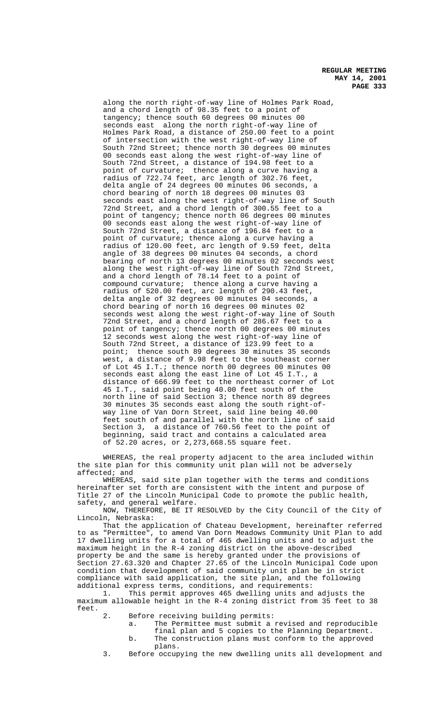along the north right-of-way line of Holmes Park Road, and a chord length of 98.35 feet to a point of tangency; thence south 60 degrees 00 minutes 00 seconds east along the north right-of-way line of Holmes Park Road, a distance of 250.00 feet to a point of intersection with the west right-of-way line of South 72nd Street; thence north 30 degrees 00 minutes 00 seconds east along the west right-of-way line of South 72nd Street, a distance of 194.98 feet to a point of curvature; thence along a curve having a radius of 722.74 feet, arc length of 302.76 feet, delta angle of 24 degrees 00 minutes 06 seconds, a chord bearing of north 18 degrees 00 minutes 03 seconds east along the west right-of-way line of South 72nd Street, and a chord length of 300.55 feet to a point of tangency; thence north 06 degrees 00 minutes 00 seconds east along the west right-of-way line of South 72nd Street, a distance of 196.84 feet to a point of curvature; thence along a curve having a radius of 120.00 feet, arc length of 9.59 feet, delta angle of 38 degrees 00 minutes 04 seconds, a chord bearing of north 13 degrees 00 minutes 02 seconds west along the west right-of-way line of South 72nd Street, and a chord length of 78.14 feet to a point of compound curvature; thence along a curve having a radius of 520.00 feet, arc length of 290.43 feet, delta angle of 32 degrees 00 minutes 04 seconds, a chord bearing of north 16 degrees 00 minutes 02 seconds west along the west right-of-way line of South 72nd Street, and a chord length of 286.67 feet to a point of tangency; thence north 00 degrees 00 minutes 12 seconds west along the west right-of-way line of South 72nd Street, a distance of 123.99 feet to a point; thence south 89 degrees 30 minutes 35 seconds west, a distance of 9.98 feet to the southeast corner of Lot 45 I.T.; thence north 00 degrees 00 minutes 00 seconds east along the east line of Lot 45 I.T., a distance of 666.99 feet to the northeast corner of Lot 45 I.T., said point being 40.00 feet south of the north line of said Section 3; thence north 89 degrees 30 minutes 35 seconds east along the south right-ofway line of Van Dorn Street, said line being 40.00 feet south of and parallel with the north line of said Section 3, a distance of 760.56 feet to the point of beginning, said tract and contains a calculated area of 52.20 acres, or 2,273,668.55 square feet.

WHEREAS, the real property adjacent to the area included within the site plan for this community unit plan will not be adversely affected; and

WHEREAS, said site plan together with the terms and conditions hereinafter set forth are consistent with the intent and purpose of Title 27 of the Lincoln Municipal Code to promote the public health, safety, and general welfare.

NOW, THEREFORE, BE IT RESOLVED by the City Council of the City of Lincoln, Nebraska:

That the application of Chateau Development, hereinafter referred to as "Permittee", to amend Van Dorn Meadows Community Unit Plan to add 17 dwelling units for a total of 465 dwelling units and to adjust the maximum height in the R-4 zoning district on the above-described property be and the same is hereby granted under the provisions of Section 27.63.320 and Chapter 27.65 of the Lincoln Municipal Code upon condition that development of said community unit plan be in strict compliance with said application, the site plan, and the following additional express terms, conditions, and requirements:

1. This permit approves 465 dwelling units and adjusts the maximum allowable height in the R-4 zoning district from 35 feet to 38 feet.

- 2. Before receiving building permits:
	- a. The Permittee must submit a revised and reproducible final plan and 5 copies to the Planning Department. b. The construction plans must conform to the approved
		- plans.
- 3. Before occupying the new dwelling units all development and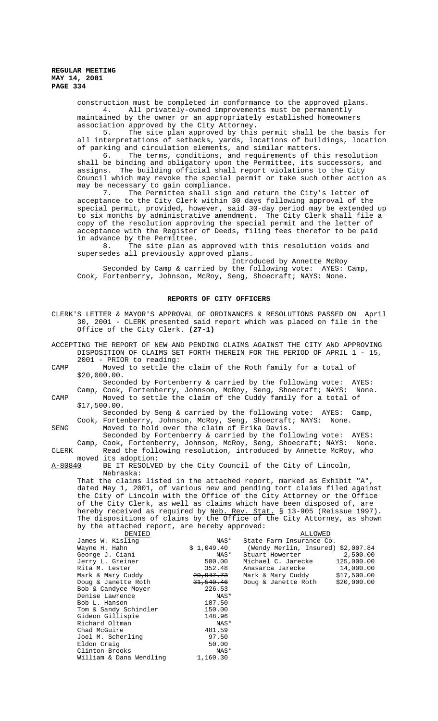construction must be completed in conformance to the approved plans. 4. All privately-owned improvements must be permanently maintained by the owner or an appropriately established homeowners association approved by the City Attorney.

5. The site plan approved by this permit shall be the basis for all interpretations of setbacks, yards, locations of buildings, location of parking and circulation elements, and similar matters.

6. The terms, conditions, and requirements of this resolution shall be binding and obligatory upon the Permittee, its successors, and assigns. The building official shall report violations to the City Council which may revoke the special permit or take such other action as may be necessary to gain compliance.

7. The Permittee shall sign and return the City's letter of acceptance to the City Clerk within 30 days following approval of the special permit, provided, however, said 30-day period may be extended up to six months by administrative amendment. The City Clerk shall file a copy of the resolution approving the special permit and the letter of acceptance with the Register of Deeds, filing fees therefor to be paid in advance by the Permittee.

8. The site plan as approved with this resolution voids and supersedes all previously approved plans.

Introduced by Annette McRoy

Seconded by Camp & carried by the following vote: AYES: Camp, Cook, Fortenberry, Johnson, McRoy, Seng, Shoecraft; NAYS: None.

#### **REPORTS OF CITY OFFICERS**

|         | CLERK'S LETTER & MAYOR'S APPROVAL OF ORDINANCES & RESOLUTIONS PASSED ON<br>30, 2001 - CLERK presented said report which was placed on file in the<br>Office of the City Clerk. (27-1)                                                                                                                                                                                                                                                                                                                     |                                |                                                                                                                                   | April                    |
|---------|-----------------------------------------------------------------------------------------------------------------------------------------------------------------------------------------------------------------------------------------------------------------------------------------------------------------------------------------------------------------------------------------------------------------------------------------------------------------------------------------------------------|--------------------------------|-----------------------------------------------------------------------------------------------------------------------------------|--------------------------|
|         | ACCEPTING THE REPORT OF NEW AND PENDING CLAIMS AGAINST THE CITY AND APPROVING<br>DISPOSITION OF CLAIMS SET FORTH THEREIN FOR THE PERIOD OF APRIL 1 - 15,                                                                                                                                                                                                                                                                                                                                                  |                                |                                                                                                                                   |                          |
| CAMP    | 2001 - PRIOR to reading:<br>\$20,000.00.                                                                                                                                                                                                                                                                                                                                                                                                                                                                  |                                | Moved to settle the claim of the Roth family for a total of                                                                       |                          |
| CAMP    | Camp, Cook, Fortenberry, Johnson, McRoy, Seng, Shoecraft; NAYS:<br>\$17,500.00.                                                                                                                                                                                                                                                                                                                                                                                                                           |                                | Seconded by Fortenberry & carried by the following vote:<br>Moved to settle the claim of the Cuddy family for a total of          | AYES:<br>None.           |
| SENG    | Cook, Fortenberry, Johnson, McRoy, Seng, Shoecraft; NAYS:<br>Moved to hold over the claim of Erika Davis.                                                                                                                                                                                                                                                                                                                                                                                                 |                                | Seconded by Seng & carried by the following vote:                                                                                 | AYES:<br>Camp,<br>None.  |
| CLERK   | Camp, Cook, Fortenberry, Johnson, McRoy, Seng, Shoecraft; NAYS:                                                                                                                                                                                                                                                                                                                                                                                                                                           |                                | Seconded by Fortenberry & carried by the following vote: AYES:<br>Read the following resolution, introduced by Annette McRoy, who | None.                    |
| A-80840 | moved its adoption:<br>Nebraska:                                                                                                                                                                                                                                                                                                                                                                                                                                                                          |                                | BE IT RESOLVED by the City Council of the City of Lincoln,                                                                        |                          |
|         | That the claims listed in the attached report, marked as Exhibit "A",<br>dated May 1, 2001, of various new and pending tort claims filed against<br>the City of Lincoln with the Office of the City Attorney or the Office<br>of the City Clerk, as well as claims which have been disposed of, are<br>hereby received as required by Neb. Rev. Stat. § 13-905 (Reissue 1997).<br>The dispositions of claims by the Office of the City Attorney, as shown<br>by the attached report, are hereby approved: |                                |                                                                                                                                   |                          |
|         | DENIED                                                                                                                                                                                                                                                                                                                                                                                                                                                                                                    |                                | ALLOWED                                                                                                                           |                          |
|         | James W. Kisling                                                                                                                                                                                                                                                                                                                                                                                                                                                                                          | NAS*                           | State Farm Insurance Co.                                                                                                          |                          |
|         | Wayne H. Hahn                                                                                                                                                                                                                                                                                                                                                                                                                                                                                             | \$1,049.40                     | (Wendy Merlin, Insured) \$2,007.84                                                                                                |                          |
|         | George J. Ciani                                                                                                                                                                                                                                                                                                                                                                                                                                                                                           | NAS*                           | Stuart Howerter                                                                                                                   | 2,500.00                 |
|         | Jerry L. Greiner                                                                                                                                                                                                                                                                                                                                                                                                                                                                                          | 500.00                         | Michael C. Jarecke                                                                                                                | 125,000.00               |
|         | Rita M. Lester<br>Mark & Mary Cuddy                                                                                                                                                                                                                                                                                                                                                                                                                                                                       | 352.48<br><del>20,947.73</del> | Anasarca Jarecke<br>Mark & Mary Cuddy                                                                                             | 14,000.00<br>\$17,500.00 |
|         | Doug & Janette Roth                                                                                                                                                                                                                                                                                                                                                                                                                                                                                       | <del>31,540.46</del>           | Doug & Janette Roth                                                                                                               | \$20,000.00              |
|         | Bob & Candyce Moyer                                                                                                                                                                                                                                                                                                                                                                                                                                                                                       | 226.53                         |                                                                                                                                   |                          |
|         | Denise Lawrence                                                                                                                                                                                                                                                                                                                                                                                                                                                                                           | NAS*                           |                                                                                                                                   |                          |
|         | Bob L. Hanson                                                                                                                                                                                                                                                                                                                                                                                                                                                                                             | 107.50                         |                                                                                                                                   |                          |
|         | Tom & Sandy Schindler                                                                                                                                                                                                                                                                                                                                                                                                                                                                                     | 150.00                         |                                                                                                                                   |                          |
|         | Gideon Gillispie                                                                                                                                                                                                                                                                                                                                                                                                                                                                                          | 148.96                         |                                                                                                                                   |                          |
|         | Richard Oltman                                                                                                                                                                                                                                                                                                                                                                                                                                                                                            | NAS*                           |                                                                                                                                   |                          |
|         | Chad McGuire                                                                                                                                                                                                                                                                                                                                                                                                                                                                                              | 481.59                         |                                                                                                                                   |                          |
|         | Joel M. Scherling                                                                                                                                                                                                                                                                                                                                                                                                                                                                                         | 97.50                          |                                                                                                                                   |                          |
|         | Eldon Craig                                                                                                                                                                                                                                                                                                                                                                                                                                                                                               | 50.00                          |                                                                                                                                   |                          |
|         | Clinton Brooks                                                                                                                                                                                                                                                                                                                                                                                                                                                                                            | NAS*                           |                                                                                                                                   |                          |
|         | William & Dana Wendling                                                                                                                                                                                                                                                                                                                                                                                                                                                                                   | 1,160.30                       |                                                                                                                                   |                          |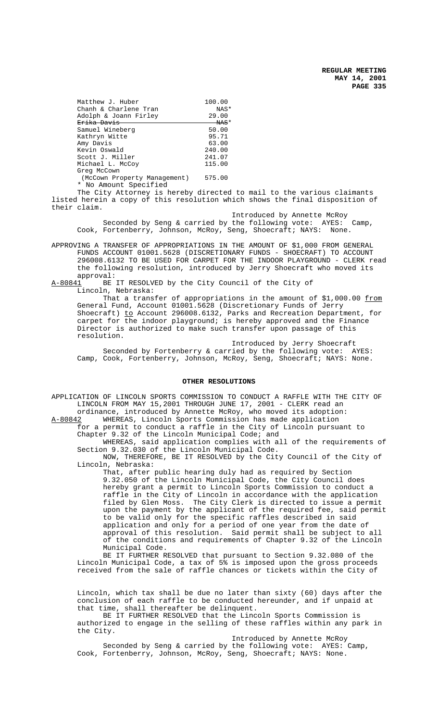| Matthew J. Huber             | 100.00             |  |  |
|------------------------------|--------------------|--|--|
| Chanh & Charlene Tran        | NAS*               |  |  |
| Adolph & Joann Firley        | 29.00              |  |  |
| <del>Erika Davis</del>       | <del>- NAS</del> * |  |  |
| Samuel Wineberg              | 50.00              |  |  |
| Kathryn Witte                | 95.71              |  |  |
| Amy Davis                    | 63.00              |  |  |
| Kevin Oswald                 | 240.00             |  |  |
| Scott J. Miller              | 241.07             |  |  |
| Michael L. McCoy             | 115.00             |  |  |
| Greg McCown                  |                    |  |  |
| (McCown Property Management) | 575.00             |  |  |

\* No Amount Specified

The City Attorney is hereby directed to mail to the various claimants listed herein a copy of this resolution which shows the final disposition of their claim.

 Introduced by Annette McRoy Seconded by Seng & carried by the following vote: AYES: Camp, Cook, Fortenberry, Johnson, McRoy, Seng, Shoecraft; NAYS: None.

APPROVING A TRANSFER OF APPROPRIATIONS IN THE AMOUNT OF \$1,000 FROM GENERAL FUNDS ACCOUNT 01001.5628 (DISCRETIONARY FUNDS - SHOECRAFT) TO ACCOUNT 296008.6132 TO BE USED FOR CARPET FOR THE INDOOR PLAYGROUND - CLERK read the following resolution, introduced by Jerry Shoecraft who moved its approval:<br>A-80841 BE

BE IT RESOLVED by the City Council of the City of Lincoln, Nebraska:

That a transfer of appropriations in the amount of  $$1,000.00 \text{ from}$ General Fund, Account 01001.5628 (Discretionary Funds of Jerry Shoecraft) to Account 296008.6132, Parks and Recreation Department, for carpet for the indoor playground; is hereby approved and the Finance Director is authorized to make such transfer upon passage of this resolution.

Introduced by Jerry Shoecraft Seconded by Fortenberry & carried by the following vote: AYES: Camp, Cook, Fortenberry, Johnson, McRoy, Seng, Shoecraft; NAYS: None.

# **OTHER RESOLUTIONS**

APPLICATION OF LINCOLN SPORTS COMMISSION TO CONDUCT A RAFFLE WITH THE CITY OF LINCOLN FROM MAY 15,2001 THROUGH JUNE 17, 2001 - CLERK read an ordinance, introduced by Annette McRoy, who moved its adoption:

A-80842 WHEREAS, Lincoln Sports Commission has made application for a permit to conduct a raffle in the City of Lincoln pursuant to Chapter 9.32 of the Lincoln Municipal Code; and

WHEREAS, said application complies with all of the requirements of Section 9.32.030 of the Lincoln Municipal Code.

NOW, THEREFORE, BE IT RESOLVED by the City Council of the City of Lincoln, Nebraska:

That, after public hearing duly had as required by Section 9.32.050 of the Lincoln Municipal Code, the City Council does hereby grant a permit to Lincoln Sports Commission to conduct a raffle in the City of Lincoln in accordance with the application filed by Glen Moss. The City Clerk is directed to issue a permit upon the payment by the applicant of the required fee, said permit to be valid only for the specific raffles described in said application and only for a period of one year from the date of approval of this resolution. Said permit shall be subject to all of the conditions and requirements of Chapter 9.32 of the Lincoln Municipal Code.

BE IT FURTHER RESOLVED that pursuant to Section 9.32.080 of the Lincoln Municipal Code, a tax of 5% is imposed upon the gross proceeds received from the sale of raffle chances or tickets within the City of

Lincoln, which tax shall be due no later than sixty (60) days after the conclusion of each raffle to be conducted hereunder, and if unpaid at that time, shall thereafter be delinquent.

BE IT FURTHER RESOLVED that the Lincoln Sports Commission is authorized to engage in the selling of these raffles within any park in the City.

Introduced by Annette McRoy Seconded by Seng & carried by the following vote: AYES: Camp, Cook, Fortenberry, Johnson, McRoy, Seng, Shoecraft; NAYS: None.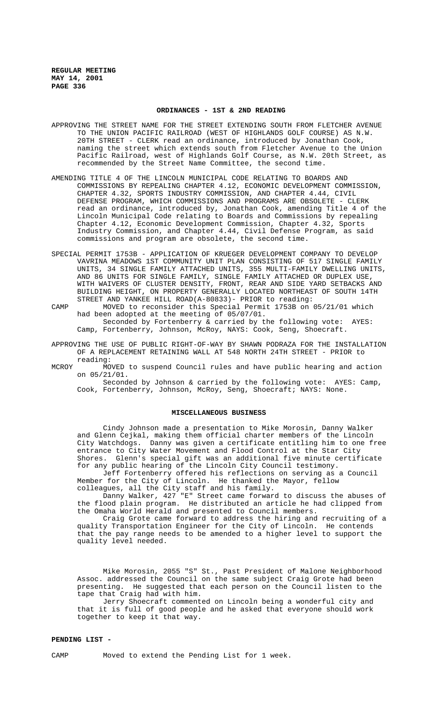#### **ORDINANCES - 1ST & 2ND READING**

- APPROVING THE STREET NAME FOR THE STREET EXTENDING SOUTH FROM FLETCHER AVENUE TO THE UNION PACIFIC RAILROAD (WEST OF HIGHLANDS GOLF COURSE) AS N.W. 20TH STREET - CLERK read an ordinance, introduced by Jonathan Cook, naming the street which extends south from Fletcher Avenue to the Union Pacific Railroad, west of Highlands Golf Course, as N.W. 20th Street, as recommended by the Street Name Committee, the second time.
- AMENDING TITLE 4 OF THE LINCOLN MUNICIPAL CODE RELATING TO BOARDS AND COMMISSIONS BY REPEALING CHAPTER 4.12, ECONOMIC DEVELOPMENT COMMISSION, CHAPTER 4.32, SPORTS INDUSTRY COMMISSION, AND CHAPTER 4.44, CIVIL DEFENSE PROGRAM, WHICH COMMISSIONS AND PROGRAMS ARE OBSOLETE - CLERK read an ordinance, introduced by, Jonathan Cook, amending Title 4 of the Lincoln Municipal Code relating to Boards and Commissions by repealing Chapter 4.12, Economic Development Commission, Chapter 4.32, Sports Industry Commission, and Chapter 4.44, Civil Defense Program, as said commissions and program are obsolete, the second time.
- SPECIAL PERMIT 1753B APPLICATION OF KRUEGER DEVELOPMENT COMPANY TO DEVELOP VAVRINA MEADOWS 1ST COMMUNITY UNIT PLAN CONSISTING OF 517 SINGLE FAMILY UNITS, 34 SINGLE FAMILY ATTACHED UNITS, 355 MULTI-FAMILY DWELLING UNITS, AND 86 UNITS FOR SINGLE FAMILY, SINGLE FAMILY ATTACHED OR DUPLEX USE, WITH WAIVERS OF CLUSTER DENSITY, FRONT, REAR AND SIDE YARD SETBACKS AND BUILDING HEIGHT, ON PROPERTY GENERALLY LOCATED NORTHEAST OF SOUTH 14TH STREET AND YANKEE HILL ROAD(A-80833)- PRIOR to reading:
- CAMP MOVED to reconsider this Special Permit 1753B on 05/21/01 which had been adopted at the meeting of 05/07/01. Seconded by Fortenberry & carried by the following vote: AYES: Camp, Fortenberry, Johnson, McRoy, NAYS: Cook, Seng, Shoecraft.
- APPROVING THE USE OF PUBLIC RIGHT-OF-WAY BY SHAWN PODRAZA FOR THE INSTALLATION OF A REPLACEMENT RETAINING WALL AT 548 NORTH 24TH STREET - PRIOR to reading:
- MCROY MOVED to suspend Council rules and have public hearing and action on 05/21/01.

Seconded by Johnson & carried by the following vote: AYES: Camp, Cook, Fortenberry, Johnson, McRoy, Seng, Shoecraft; NAYS: None.

## **MISCELLANEOUS BUSINESS**

Cindy Johnson made a presentation to Mike Morosin, Danny Walker and Glenn Cejkal, making them official charter members of the Lincoln City Watchdogs. Danny was given a certificate entitling him to one free entrance to City Water Movement and Flood Control at the Star City Shores. Glenn's special gift was an additional five minute certificate for any public hearing of the Lincoln City Council testimony.

Jeff Fortenberry offered his reflections on serving as a Council Member for the City of Lincoln. He thanked the Mayor, fellow colleagues, all the City staff and his family.

Danny Walker, 427 "E" Street came forward to discuss the abuses of the flood plain program. He distributed an article he had clipped from the Omaha World Herald and presented to Council members.

Craig Grote came forward to address the hiring and recruiting of a quality Transportation Engineer for the City of Lincoln. He contends that the pay range needs to be amended to a higher level to support the quality level needed.

Mike Morosin, 2055 "S" St., Past President of Malone Neighborhood Assoc. addressed the Council on the same subject Craig Grote had been presenting. He suggested that each person on the Council listen to the tape that Craig had with him.

Jerry Shoecraft commented on Lincoln being a wonderful city and that it is full of good people and he asked that everyone should work together to keep it that way.

## **PENDING LIST -**

CAMP Moved to extend the Pending List for 1 week.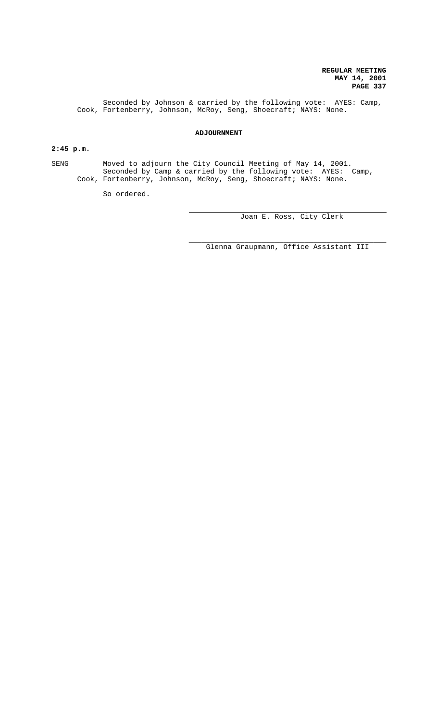Seconded by Johnson & carried by the following vote: AYES: Camp, Cook, Fortenberry, Johnson, McRoy, Seng, Shoecraft; NAYS: None.

# **ADJOURNMENT**

# **2:45 p.m.**

SENG Moved to adjourn the City Council Meeting of May 14, 2001. Seconded by Camp & carried by the following vote: AYES: Camp, Cook, Fortenberry, Johnson, McRoy, Seng, Shoecraft; NAYS: None.

 $\overline{a}$ 

So ordered.

Joan E. Ross, City Clerk

\_\_\_\_\_\_\_\_\_\_\_\_\_\_\_\_\_\_\_\_\_\_\_\_\_\_\_\_\_\_\_\_\_\_\_\_\_\_\_\_\_\_\_\_\_\_ Glenna Graupmann, Office Assistant III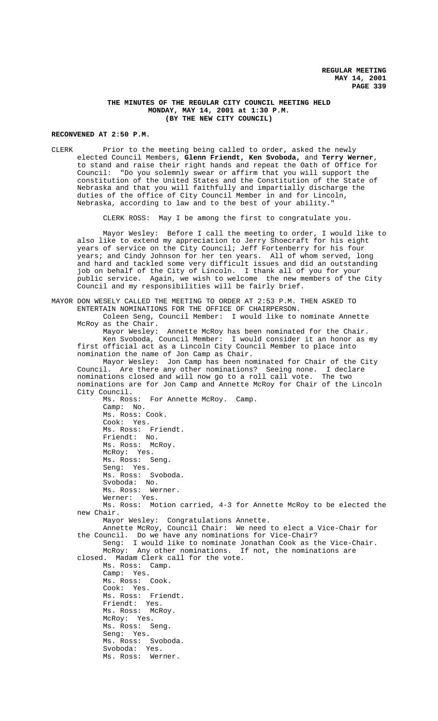## **THE MINUTES OF THE REGULAR CITY COUNCIL MEETING HELD MONDAY, MAY 14, 2001 at 1:30 P.M. (BY THE NEW CITY COUNCIL)**

# **RECONVENED AT 2:50 P.M.**

CLERK Prior to the meeting being called to order, asked the newly elected Council Members, **Glenn Friendt, Ken Svoboda,** and **Terry Werner**, to stand and raise their right hands and repeat the Oath of Office for Council: "Do you solemnly swear or affirm that you will support the constitution of the United States and the Constitution of the State of Nebraska and that you will faithfully and impartially discharge the duties of the office of City Council Member in and for Lincoln, Nebraska, according to law and to the best of your ability."

CLERK ROSS: May I be among the first to congratulate you.

Mayor Wesley: Before I call the meeting to order, I would like to also like to extend my appreciation to Jerry Shoecraft for his eight years of service on the City Council; Jeff Fortenberry for his four years; and Cindy Johnson for her ten years. All of whom served, long and hard and tackled some very difficult issues and did an outstanding job on behalf of the City of Lincoln. I thank all of you for your public service. Again, we wish to welcome the new members of the City Council and my responsibilities will be fairly brief.

| MAYOR DON WESELY CALLED THE MEETING TO ORDER AT 2:53 P.M. THEN ASKED TO |  |  |  |
|-------------------------------------------------------------------------|--|--|--|
| ENTERTAIN NOMINATIONS FOR THE OFFICE OF CHAIRPERSON.                    |  |  |  |
| Coleen Seng, Council Member: I would like to nominate Annette           |  |  |  |
| McRoy as the Chair.                                                     |  |  |  |
| Mayor Wesley: Annette McRoy has been nominated for the Chair.           |  |  |  |
| Ken Svoboda, Council Member: I would consider it an honor as my         |  |  |  |
| first official act as a Lincoln City Council Member to place into       |  |  |  |
| nomination the name of Jon Camp as Chair.                               |  |  |  |
| Mayor Wesley: Jon Camp has been nominated for Chair of the City         |  |  |  |
| Council. Are there any other nominations? Seeing none. I declare        |  |  |  |
| nominations closed and will now go to a roll call vote. The two         |  |  |  |
| nominations are for Jon Camp and Annette McRoy for Chair of the Lincoln |  |  |  |
| City Council.                                                           |  |  |  |
| Ms. Ross: For Annette McRoy. Camp.                                      |  |  |  |
| Camp: No.                                                               |  |  |  |
| Ms. Ross: Cook.                                                         |  |  |  |
| Cook: Yes.                                                              |  |  |  |
| Ms. Ross: Friendt.                                                      |  |  |  |
| Friendt: No.                                                            |  |  |  |
| Ms. Ross: McRoy.                                                        |  |  |  |
| McRoy: Yes.                                                             |  |  |  |
| Ms. Ross: Seng.                                                         |  |  |  |
| Seng: Yes.                                                              |  |  |  |
| Ms. Ross: Svoboda.                                                      |  |  |  |
| Svoboda: No.                                                            |  |  |  |
| Ms. Ross: Werner.                                                       |  |  |  |
| Werner: Yes.                                                            |  |  |  |
| Ms. Ross: Motion carried, 4-3 for Annette McRoy to be elected the       |  |  |  |
| new Chair.                                                              |  |  |  |
| Mayor Wesley: Congratulations Annette.                                  |  |  |  |
| Annette McRoy, Council Chair: We need to elect a Vice-Chair for         |  |  |  |
| the Council. Do we have any nominations for Vice-Chair?                 |  |  |  |
| Seng: I would like to nominate Jonathan Cook as the Vice-Chair.         |  |  |  |
| McRoy: Any other nominations. If not, the nominations are               |  |  |  |
| closed. Madam Clerk call for the vote.                                  |  |  |  |
| Ms. Ross: Camp.                                                         |  |  |  |
| Camp: Yes.                                                              |  |  |  |
| Ms. Ross: Cook.                                                         |  |  |  |
| Cook: Yes.                                                              |  |  |  |
| Ms. Ross: Friendt.                                                      |  |  |  |
| Friendt: Yes.                                                           |  |  |  |
| Ms. Ross: McRoy.                                                        |  |  |  |
| McRoy: Yes.                                                             |  |  |  |
| Ms. Ross: Seng.                                                         |  |  |  |
| Seng: Yes.                                                              |  |  |  |
| Ms. Ross: Svoboda.                                                      |  |  |  |
| Svoboda: Yes.                                                           |  |  |  |
| Ms. Ross: Werner.                                                       |  |  |  |
|                                                                         |  |  |  |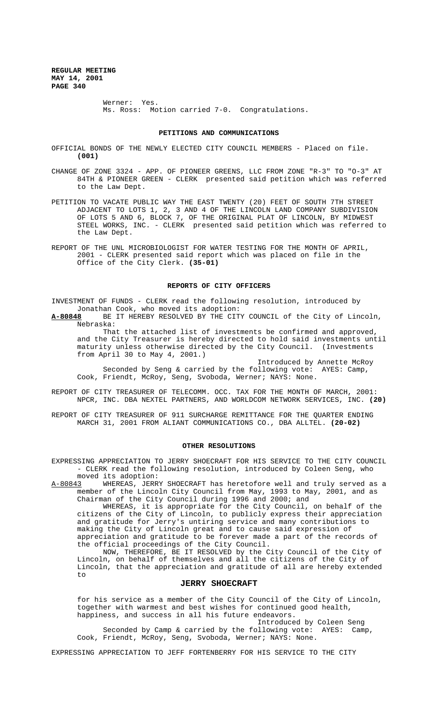> Werner: Yes. Ms. Ross: Motion carried 7-0. Congratulations.

# **PETITIONS AND COMMUNICATIONS**

OFFICIAL BONDS OF THE NEWLY ELECTED CITY COUNCIL MEMBERS - Placed on file. **(001)**

- CHANGE OF ZONE 3324 APP. OF PIONEER GREENS, LLC FROM ZONE "R-3" TO "O-3" AT 84TH & PIONEER GREEN - CLERK presented said petition which was referred to the Law Dept.
- PETITION TO VACATE PUBLIC WAY THE EAST TWENTY (20) FEET OF SOUTH 7TH STREET ADJACENT TO LOTS 1, 2, 3 AND 4 OF THE LINCOLN LAND COMPANY SUBDIVISION OF LOTS 5 AND 6, BLOCK 7, OF THE ORIGINAL PLAT OF LINCOLN, BY MIDWEST STEEL WORKS, INC. - CLERK presented said petition which was referred to the Law Dept.
- REPORT OF THE UNL MICROBIOLOGIST FOR WATER TESTING FOR THE MONTH OF APRIL, 2001 - CLERK presented said report which was placed on file in the Office of the City Clerk. **(35-01)**

#### **REPORTS OF CITY OFFICERS**

INVESTMENT OF FUNDS - CLERK read the following resolution, introduced by Jonathan Cook, who moved its adoption:<br>A-80848 BE IT HEREBY RESOLVED BY THE CIT

BE IT HEREBY RESOLVED BY THE CITY COUNCIL of the City of Lincoln, Nebraska:

That the attached list of investments be confirmed and approved, and the City Treasurer is hereby directed to hold said investments until maturity unless otherwise directed by the City Council. (Investments from April 30 to May 4, 2001.)

Introduced by Annette McRoy Seconded by Seng & carried by the following vote: AYES: Camp, Cook, Friendt, McRoy, Seng, Svoboda, Werner; NAYS: None.

- REPORT OF CITY TREASURER OF TELECOMM. OCC. TAX FOR THE MONTH OF MARCH, 2001: NPCR, INC. DBA NEXTEL PARTNERS, AND WORLDCOM NETWORK SERVICES, INC. **(20)**
- REPORT OF CITY TREASURER OF 911 SURCHARGE REMITTANCE FOR THE QUARTER ENDING MARCH 31, 2001 FROM ALIANT COMMUNICATIONS CO., DBA ALLTEL. **(20-02)**

#### **OTHER RESOLUTIONS**

- EXPRESSING APPRECIATION TO JERRY SHOECRAFT FOR HIS SERVICE TO THE CITY COUNCIL - CLERK read the following resolution, introduced by Coleen Seng, who
- moved its adoption:<br>A-80843 WHEREAS, JERR WHEREAS, JERRY SHOECRAFT has heretofore well and truly served as a member of the Lincoln City Council from May, 1993 to May, 2001, and as Chairman of the City Council during 1996 and 2000; and WHEREAS, it is appropriate for the City Council, on behalf of the

citizens of the City of Lincoln, to publicly express their appreciation and gratitude for Jerry's untiring service and many contributions to making the City of Lincoln great and to cause said expression of appreciation and gratitude to be forever made a part of the records of the official proceedings of the City Council.

NOW, THEREFORE, BE IT RESOLVED by the City Council of the City of Lincoln, on behalf of themselves and all the citizens of the City of Lincoln, that the appreciation and gratitude of all are hereby extended to

## **JERRY SHOECRAFT**

for his service as a member of the City Council of the City of Lincoln, together with warmest and best wishes for continued good health, happiness, and success in all his future endeavors.

Introduced by Coleen Seng Seconded by Camp & carried by the following vote: AYES: Camp, Cook, Friendt, McRoy, Seng, Svoboda, Werner; NAYS: None.

EXPRESSING APPRECIATION TO JEFF FORTENBERRY FOR HIS SERVICE TO THE CITY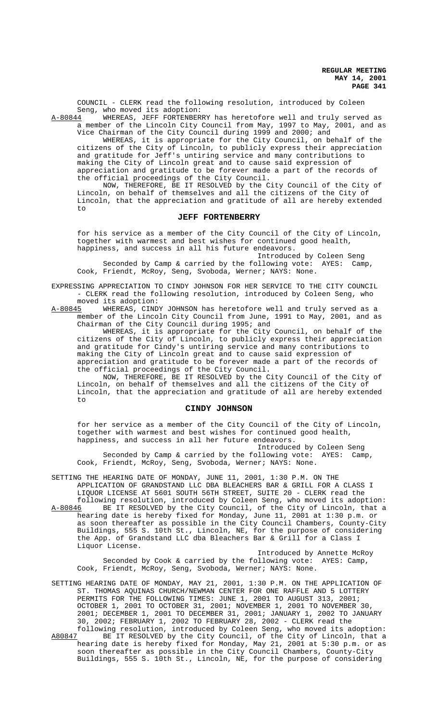COUNCIL - CLERK read the following resolution, introduced by Coleen Seng, who moved its adoption:<br>A-80844 WHEREAS, JEFF FORTENBER

WHEREAS, JEFF FORTENBERRY has heretofore well and truly served as a member of the Lincoln City Council from May, 1997 to May, 2001, and as Vice Chairman of the City Council during 1999 and 2000; and

WHEREAS, it is appropriate for the City Council, on behalf of the citizens of the City of Lincoln, to publicly express their appreciation and gratitude for Jeff's untiring service and many contributions to making the City of Lincoln great and to cause said expression of appreciation and gratitude to be forever made a part of the records of the official proceedings of the City Council.

NOW, THEREFORE, BE IT RESOLVED by the City Council of the City of Lincoln, on behalf of themselves and all the citizens of the City of Lincoln, that the appreciation and gratitude of all are hereby extended to

## **JEFF FORTENBERRY**

for his service as a member of the City Council of the City of Lincoln, together with warmest and best wishes for continued good health, happiness, and success in all his future endeavors.

Introduced by Coleen Seng Seconded by Camp & carried by the following vote: AYES: Camp, Cook, Friendt, McRoy, Seng, Svoboda, Werner; NAYS: None.

EXPRESSING APPRECIATION TO CINDY JOHNSON FOR HER SERVICE TO THE CITY COUNCIL - CLERK read the following resolution, introduced by Coleen Seng, who

moved its adoption:<br>A-80845 WHEREAS, CIND WHEREAS, CINDY JOHNSON has heretofore well and truly served as a member of the Lincoln City Council from June, 1991 to May, 2001, and as Chairman of the City Council during 1995; and

WHEREAS, it is appropriate for the City Council, on behalf of the citizens of the City of Lincoln, to publicly express their appreciation and gratitude for Cindy's untiring service and many contributions to making the City of Lincoln great and to cause said expression of appreciation and gratitude to be forever made a part of the records of the official proceedings of the City Council.

NOW, THEREFORE, BE IT RESOLVED by the City Council of the City of Lincoln, on behalf of themselves and all the citizens of the City of Lincoln, that the appreciation and gratitude of all are hereby extended  $t \circ$ 

# **CINDY JOHNSON**

for her service as a member of the City Council of the City of Lincoln, together with warmest and best wishes for continued good health, happiness, and success in all her future endeavors.

Introduced by Coleen Seng Seconded by Camp & carried by the following vote: AYES: Camp, Cook, Friendt, McRoy, Seng, Svoboda, Werner; NAYS: None.

SETTING THE HEARING DATE OF MONDAY, JUNE 11, 2001, 1:30 P.M. ON THE APPLICATION OF GRANDSTAND LLC DBA BLEACHERS BAR & GRILL FOR A CLASS I LIQUOR LICENSE AT 5601 SOUTH 56TH STREET, SUITE 20 - CLERK read the

following resolution, introduced by Coleen Seng, who moved its adoption: A-80846 BE IT RESOLVED by the City Council, of the City of Lincoln, that a hearing date is hereby fixed for Monday, June 11, 2001 at 1:30 p.m. or as soon thereafter as possible in the City Council Chambers, County-City Buildings, 555 S. 10th St., Lincoln, NE, for the purpose of considering the App. of Grandstand LLC dba Bleachers Bar & Grill for a Class I Liquor License.

Introduced by Annette McRoy Seconded by Cook & carried by the following vote: AYES: Camp, Cook, Friendt, McRoy, Seng, Svoboda, Werner; NAYS: None.

SETTING HEARING DATE OF MONDAY, MAY 21, 2001, 1:30 P.M. ON THE APPLICATION OF ST. THOMAS AQUINAS CHURCH/NEWMAN CENTER FOR ONE RAFFLE AND 5 LOTTERY PERMITS FOR THE FOLLOWING TIMES: JUNE 1, 2001 TO AUGUST 313, 2001; OCTOBER 1, 2001 TO OCTOBER 31, 2001; NOVEMBER 1, 2001 TO NOVEMBER 30, 2001; DECEMBER 1, 2001 TO DECEMBER 31, 2001; JANUARY 1, 2002 TO JANUARY 30, 2002; FEBRUARY 1, 2002 TO FEBRUARY 28, 2002 - CLERK read the following resolution, introduced by Coleen Seng, who moved its adoption:

A80847 BE IT RESOLVED by the City Council, of the City of Lincoln, that a hearing date is hereby fixed for Monday, May 21, 2001 at 5:30 p.m. or as soon thereafter as possible in the City Council Chambers, County-City Buildings, 555 S. 10th St., Lincoln, NE, for the purpose of considering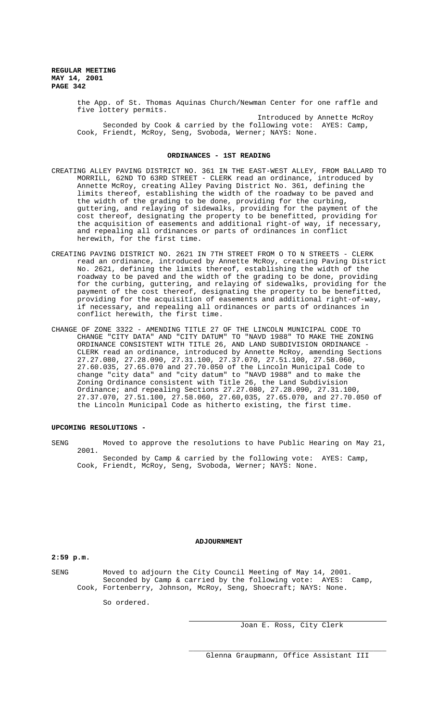> the App. of St. Thomas Aquinas Church/Newman Center for one raffle and five lottery permits.

Introduced by Annette McRoy Seconded by Cook & carried by the following vote: AYES: Camp, Cook, Friendt, McRoy, Seng, Svoboda, Werner; NAYS: None.

#### **ORDINANCES - 1ST READING**

- CREATING ALLEY PAVING DISTRICT NO. 361 IN THE EAST-WEST ALLEY, FROM BALLARD TO MORRILL, 62ND TO 63RD STREET - CLERK read an ordinance, introduced by Annette McRoy, creating Alley Paving District No. 361, defining the limits thereof, establishing the width of the roadway to be paved and the width of the grading to be done, providing for the curbing, guttering, and relaying of sidewalks, providing for the payment of the cost thereof, designating the property to be benefitted, providing for the acquisition of easements and additional right-of way, if necessary, and repealing all ordinances or parts of ordinances in conflict herewith, for the first time.
- CREATING PAVING DISTRICT NO. 2621 IN 7TH STREET FROM O TO N STREETS CLERK read an ordinance, introduced by Annette McRoy, creating Paving District No. 2621, defining the limits thereof, establishing the width of the roadway to be paved and the width of the grading to be done, providing for the curbing, guttering, and relaying of sidewalks, providing for the payment of the cost thereof, designating the property to be benefitted, providing for the acquisition of easements and additional right-of-way, if necessary, and repealing all ordinances or parts of ordinances in conflict herewith, the first time.
- CHANGE OF ZONE 3322 AMENDING TITLE 27 OF THE LINCOLN MUNICIPAL CODE TO CHANGE "CITY DATA" AND "CITY DATUM" TO "NAVD 1988" TO MAKE THE ZONING ORDINANCE CONSISTENT WITH TITLE 26, AND LAND SUBDIVISION ORDINANCE - CLERK read an ordinance, introduced by Annette McRoy, amending Sections 27.27.080, 27.28.090, 27.31.100, 27.37.070, 27.51.100, 27.58.060, 27.60.035, 27.65.070 and 27.70.050 of the Lincoln Municipal Code to change "city data" and "city datum" to "NAVD 1988" and to make the Zoning Ordinance consistent with Title 26, the Land Subdivision Ordinance; and repealing Sections 27.27.080, 27.28.090, 27.31.100, 27.37.070, 27.51.100, 27.58.060, 27.60,035, 27.65.070, and 27.70.050 of the Lincoln Municipal Code as hitherto existing, the first time.

## **UPCOMING RESOLUTIONS -**

SENG Moved to approve the resolutions to have Public Hearing on May 21, 2001. Seconded by Camp & carried by the following vote: AYES: Camp, Cook, Friendt, McRoy, Seng, Svoboda, Werner; NAYS: None.

## **ADJOURNMENT**

**2:59 p.m.**

SENG Moved to adjourn the City Council Meeting of May 14, 2001. Seconded by Camp & carried by the following vote: AYES: Camp, Cook, Fortenberry, Johnson, McRoy, Seng, Shoecraft; NAYS: None.

So ordered.

Joan E. Ross, City Clerk